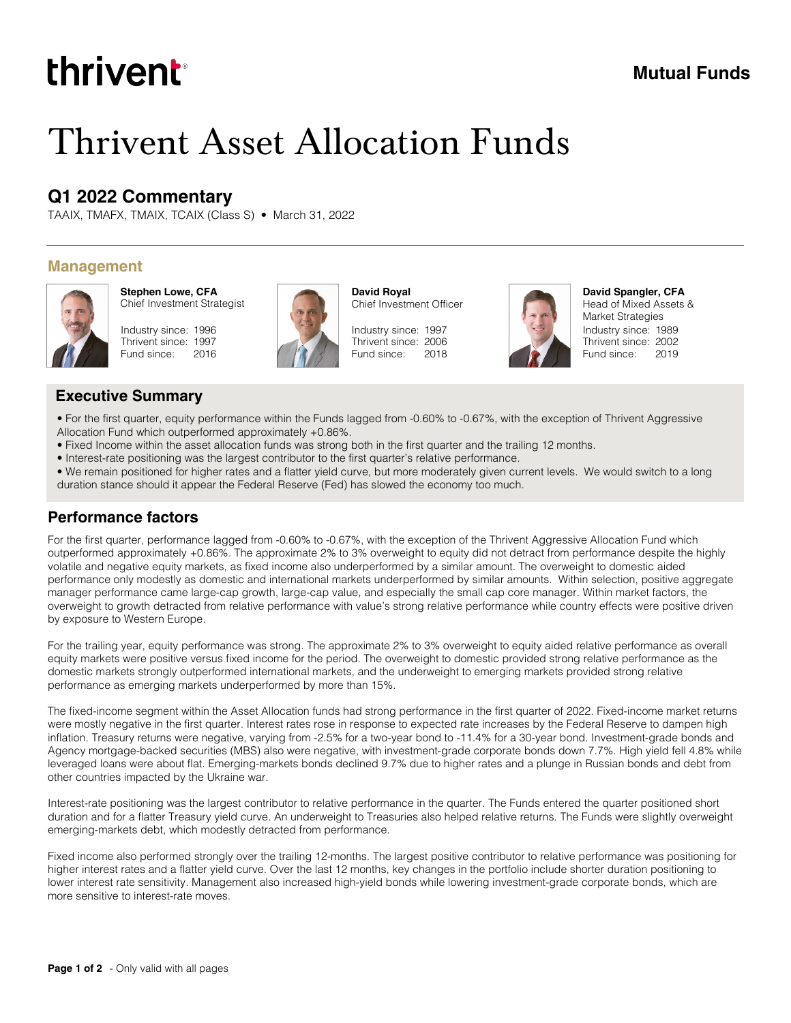# thrivent

# **Mutual Funds**

# Thrivent Asset Allocation Funds

## **Q1 2022 Commentary**

TAAIX, TMAFX, TMAIX, TCAIX (Class S) • March 31, 2022

#### **Management**



**Stephen Lowe, CFA** Chief Investment Strategist





**David Royal** Chief Investment Officer

Industry since: 1997 Thrivent since: 2006 Fund since: 2018



Industry since: 1989 Thrivent since: 2002 Fund since: 2019 **David Spangler, CFA** Head of Mixed Assets & Market Strategies

#### **Executive Summary**

- For the first quarter, equity performance within the Funds lagged from -0.60% to -0.67%, with the exception of Thrivent Aggressive Allocation Fund which outperformed approximately +0.86%.
- Fixed Income within the asset allocation funds was strong both in the first quarter and the trailing 12 months.
- Interest-rate positioning was the largest contributor to the first quarter's relative performance.
- We remain positioned for higher rates and a flatter yield curve, but more moderately given current levels. We would switch to a long duration stance should it appear the Federal Reserve (Fed) has slowed the economy too much.

#### **Performance factors**

For the first quarter, performance lagged from -0.60% to -0.67%, with the exception of the Thrivent Aggressive Allocation Fund which outperformed approximately +0.86%. The approximate 2% to 3% overweight to equity did not detract from performance despite the highly volatile and negative equity markets, as fixed income also underperformed by a similar amount. The overweight to domestic aided performance only modestly as domestic and international markets underperformed by similar amounts. Within selection, positive aggregate manager performance came large-cap growth, large-cap value, and especially the small cap core manager. Within market factors, the overweight to growth detracted from relative performance with value's strong relative performance while country effects were positive driven by exposure to Western Europe.

For the trailing year, equity performance was strong. The approximate 2% to 3% overweight to equity aided relative performance as overall equity markets were positive versus fixed income for the period. The overweight to domestic provided strong relative performance as the domestic markets strongly outperformed international markets, and the underweight to emerging markets provided strong relative performance as emerging markets underperformed by more than 15%.

The fixed-income segment within the Asset Allocation funds had strong performance in the first quarter of 2022. Fixed-income market returns were mostly negative in the first quarter. Interest rates rose in response to expected rate increases by the Federal Reserve to dampen high inflation. Treasury returns were negative, varying from -2.5% for a two-year bond to -11.4% for a 30-year bond. Investment-grade bonds and Agency mortgage-backed securities (MBS) also were negative, with investment-grade corporate bonds down 7.7%. High yield fell 4.8% while leveraged loans were about flat. Emerging-markets bonds declined 9.7% due to higher rates and a plunge in Russian bonds and debt from other countries impacted by the Ukraine war.

Interest-rate positioning was the largest contributor to relative performance in the quarter. The Funds entered the quarter positioned short duration and for a flatter Treasury yield curve. An underweight to Treasuries also helped relative returns. The Funds were slightly overweight emerging-markets debt, which modestly detracted from performance.

Fixed income also performed strongly over the trailing 12-months. The largest positive contributor to relative performance was positioning for higher interest rates and a flatter yield curve. Over the last 12 months, key changes in the portfolio include shorter duration positioning to lower interest rate sensitivity. Management also increased high-yield bonds while lowering investment-grade corporate bonds, which are more sensitive to interest-rate moves.